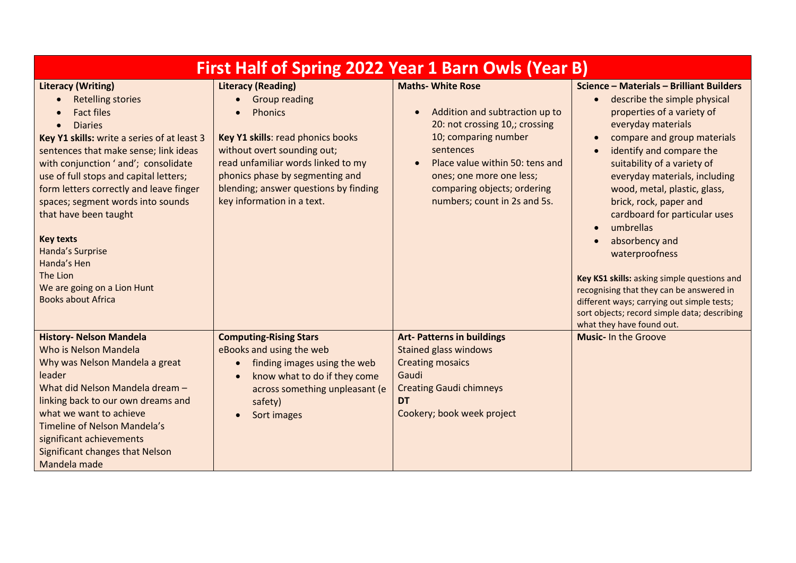| First Half of Spring 2022 Year 1 Barn Owls (Year B)                                                                                                                                                                                                                                                                                                                                                                                                                                                                                      |                                                                                                                                                                                                                                                                                         |                                                                                                                                                                                                                                                                 |                                                                                                                                                                                                                                                                                                                                                                                                                                                                                                                                                                                                                                                                                            |  |
|------------------------------------------------------------------------------------------------------------------------------------------------------------------------------------------------------------------------------------------------------------------------------------------------------------------------------------------------------------------------------------------------------------------------------------------------------------------------------------------------------------------------------------------|-----------------------------------------------------------------------------------------------------------------------------------------------------------------------------------------------------------------------------------------------------------------------------------------|-----------------------------------------------------------------------------------------------------------------------------------------------------------------------------------------------------------------------------------------------------------------|--------------------------------------------------------------------------------------------------------------------------------------------------------------------------------------------------------------------------------------------------------------------------------------------------------------------------------------------------------------------------------------------------------------------------------------------------------------------------------------------------------------------------------------------------------------------------------------------------------------------------------------------------------------------------------------------|--|
| <b>Literacy (Writing)</b><br><b>Retelling stories</b><br>$\bullet$<br><b>Fact files</b><br><b>Diaries</b><br>$\bullet$<br>Key Y1 skills: write a series of at least 3<br>sentences that make sense; link ideas<br>with conjunction ' and'; consolidate<br>use of full stops and capital letters;<br>form letters correctly and leave finger<br>spaces; segment words into sounds<br>that have been taught<br><b>Key texts</b><br>Handa's Surprise<br>Handa's Hen<br>The Lion<br>We are going on a Lion Hunt<br><b>Books about Africa</b> | <b>Literacy (Reading)</b><br><b>Group reading</b><br><b>Phonics</b><br>Key Y1 skills: read phonics books<br>without overt sounding out;<br>read unfamiliar words linked to my<br>phonics phase by segmenting and<br>blending; answer questions by finding<br>key information in a text. | <b>Maths- White Rose</b><br>Addition and subtraction up to<br>20: not crossing 10,; crossing<br>10; comparing number<br>sentences<br>Place value within 50: tens and<br>ones; one more one less;<br>comparing objects; ordering<br>numbers; count in 2s and 5s. | Science - Materials - Brilliant Builders<br>describe the simple physical<br>$\bullet$<br>properties of a variety of<br>everyday materials<br>compare and group materials<br>$\bullet$<br>identify and compare the<br>$\bullet$<br>suitability of a variety of<br>everyday materials, including<br>wood, metal, plastic, glass,<br>brick, rock, paper and<br>cardboard for particular uses<br>umbrellas<br>$\bullet$<br>absorbency and<br>$\bullet$<br>waterproofness<br>Key KS1 skills: asking simple questions and<br>recognising that they can be answered in<br>different ways; carrying out simple tests;<br>sort objects; record simple data; describing<br>what they have found out. |  |
| <b>History- Nelson Mandela</b><br>Who is Nelson Mandela<br>Why was Nelson Mandela a great<br>leader<br>What did Nelson Mandela dream -<br>linking back to our own dreams and<br>what we want to achieve<br>Timeline of Nelson Mandela's<br>significant achievements<br><b>Significant changes that Nelson</b><br>Mandela made                                                                                                                                                                                                            | <b>Computing-Rising Stars</b><br>eBooks and using the web<br>finding images using the web<br>$\bullet$<br>know what to do if they come<br>across something unpleasant (e<br>safety)<br>Sort images                                                                                      | <b>Art-Patterns in buildings</b><br><b>Stained glass windows</b><br><b>Creating mosaics</b><br>Gaudi<br><b>Creating Gaudi chimneys</b><br><b>DT</b><br>Cookery; book week project                                                                               | <b>Music- In the Groove</b>                                                                                                                                                                                                                                                                                                                                                                                                                                                                                                                                                                                                                                                                |  |